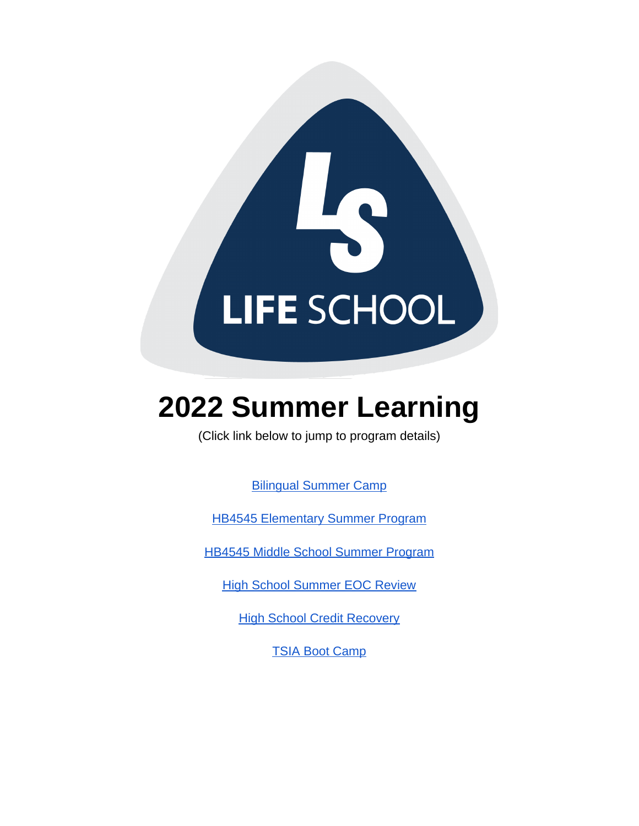

# **2022 Summer Learning**

(Click link below to jump to program details)

[Bilingual Summer Camp](#page-1-0)

[HB4545 Elementary Summer Program](#page-1-1)

[HB4545 Middle School Summer Program](#page-2-0)

[High School Summer EOC Review](#page-2-1)

**[High School Credit Recovery](#page-3-0)** 

[TSIA Boot Camp](#page-3-1)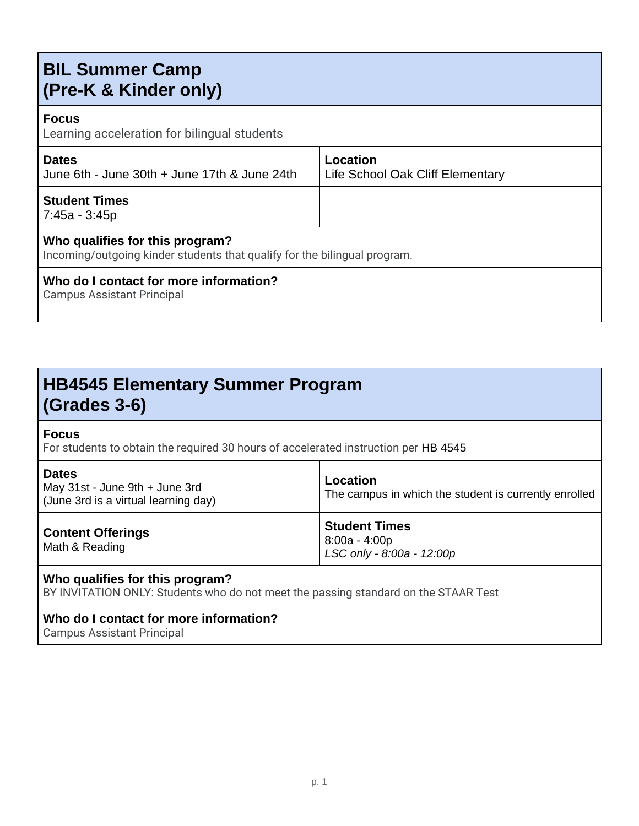# <span id="page-1-0"></span>**BIL Summer Camp (Pre-K & Kinder only)**

### **Focus**

Learning acceleration for bilingual students

| <b>Dates</b><br>June 6th - June 30th + June 17th & June 24th | Location<br>Life School Oak Cliff Elementary |
|--------------------------------------------------------------|----------------------------------------------|
| <b>Student Times</b><br>7:45a - 3:45p                        |                                              |
|                                                              |                                              |

### **Who qualifies for this program?**

Incoming/outgoing kinder students that qualify for the bilingual program.

### **Who do I contact for more information?**

Campus Assistant Principal

# <span id="page-1-1"></span>**HB4545 Elementary Summer Program (Grades 3-6)**

### **Focus**

For students to obtain the required 30 hours of accelerated instruction per HB 4545

| <b>Dates</b><br>May 31st - June 9th + June 3rd<br>(June 3rd is a virtual learning day) | Location<br>The campus in which the student is currently enrolled    |
|----------------------------------------------------------------------------------------|----------------------------------------------------------------------|
| <b>Content Offerings</b><br>Math & Reading                                             | <b>Student Times</b><br>$8:00a - 4:00p$<br>LSC only - 8:00a - 12:00p |

### **Who qualifies for this program?**

BY INVITATION ONLY: Students who do not meet the passing standard on the STAAR Test

### **Who do I contact for more information?**

Campus Assistant Principal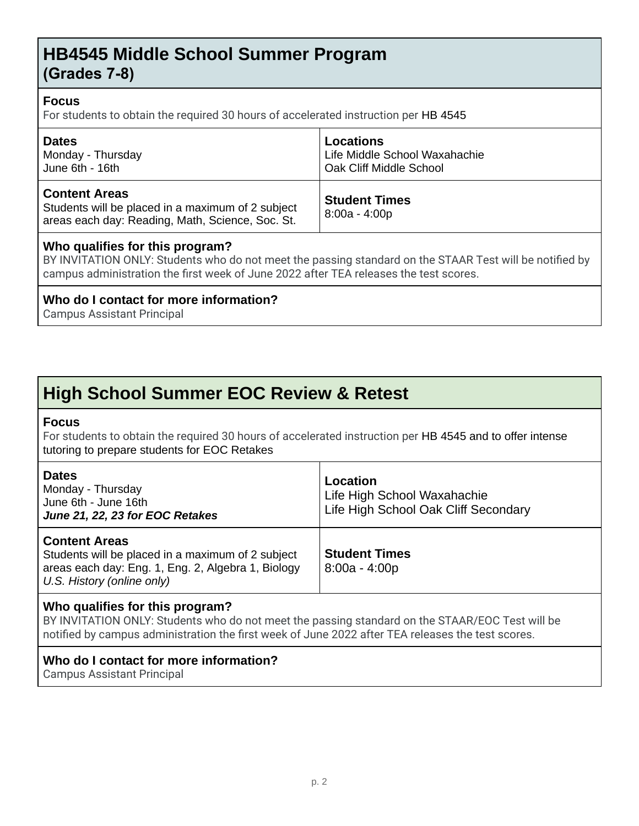### <span id="page-2-0"></span>**HB4545 Middle School Summer Program (Grades 7-8)**

### **Focus**

For students to obtain the required 30 hours of accelerated instruction per HB 4545

| <b>Dates</b>                                                                                                                  | <b>Locations</b>                        |
|-------------------------------------------------------------------------------------------------------------------------------|-----------------------------------------|
| Monday - Thursday                                                                                                             | Life Middle School Waxahachie           |
| June 6th - 16th                                                                                                               | Oak Cliff Middle School                 |
| <b>Content Areas</b><br>Students will be placed in a maximum of 2 subject<br>areas each day: Reading, Math, Science, Soc. St. | <b>Student Times</b><br>$8:00a - 4:00p$ |

### **Who qualifies for this program?**

BY INVITATION ONLY: Students who do not meet the passing standard on the STAAR Test will be notified by campus administration the first week of June 2022 after TEA releases the test scores.

### **Who do I contact for more information?**

Campus Assistant Principal

# <span id="page-2-1"></span>**High School Summer EOC Review & Retest**

### **Focus**

For students to obtain the required 30 hours of accelerated instruction per HB 4545 and to offer intense tutoring to prepare students for EOC Retakes

| <b>Dates</b><br>Monday - Thursday<br>June 6th - June 16th<br>June 21, 22, 23 for EOC Retakes                                                                  | Location<br>Life High School Waxahachie<br>Life High School Oak Cliff Secondary |
|---------------------------------------------------------------------------------------------------------------------------------------------------------------|---------------------------------------------------------------------------------|
| <b>Content Areas</b><br>Students will be placed in a maximum of 2 subject<br>areas each day: Eng. 1, Eng. 2, Algebra 1, Biology<br>U.S. History (online only) | <b>Student Times</b><br>$8:00a - 4:00p$                                         |

### **Who qualifies for this program?**

BY INVITATION ONLY: Students who do not meet the passing standard on the STAAR/EOC Test will be notified by campus administration the first week of June 2022 after TEA releases the test scores.

### **Who do I contact for more information?**

Campus Assistant Principal